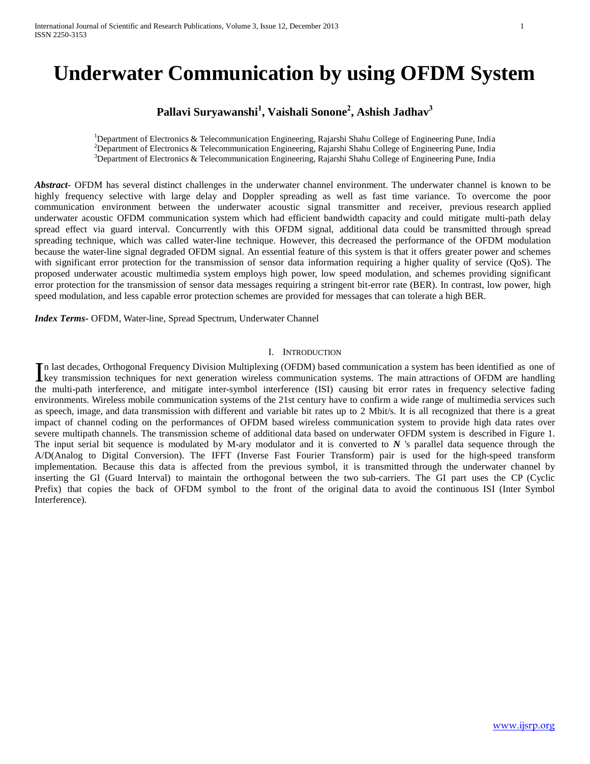# **Underwater Communication by using OFDM System**

## **Pallavi Suryawanshi<sup>1</sup> , Vaishali Sonone<sup>2</sup> , Ashish Jadhav<sup>3</sup>**

<sup>1</sup>Department of Electronics & Telecommunication Engineering, Rajarshi Shahu College of Engineering Pune, India <sup>2</sup>Department of Electronics & Telecommunication Engineering, Rajarshi Shahu College of Engineering Pune, India <sup>3</sup>Department of Electronics & Telecommunication Engineering, Rajarshi Shahu College of Engineering Pune, India

*Abstract*- OFDM has several distinct challenges in the underwater channel environment. The underwater channel is known to be highly frequency selective with large delay and Doppler spreading as well as fast time variance. To overcome the poor communication environment between the underwater acoustic signal transmitter and receiver, previous research applied underwater acoustic OFDM communication system which had efficient bandwidth capacity and could mitigate multi-path delay spread effect via guard interval. Concurrently with this OFDM signal, additional data could be transmitted through spread spreading technique, which was called water-line technique. However, this decreased the performance of the OFDM modulation because the water-line signal degraded OFDM signal. An essential feature of this system is that it offers greater power and schemes with significant error protection for the transmission of sensor data information requiring a higher quality of service (QoS). The proposed underwater acoustic multimedia system employs high power, low speed modulation, and schemes providing significant error protection for the transmission of sensor data messages requiring a stringent bit-error rate (BER). In contrast, low power, high speed modulation, and less capable error protection schemes are provided for messages that can tolerate a high BER.

*Index Terms-* OFDM, Water-line, Spread Spectrum, Underwater Channel

#### I. INTRODUCTION

n last decades, Orthogonal Frequency Division Multiplexing (OFDM) based communication a system has been identified as one of In last decades, Orthogonal Frequency Division Multiplexing (OFDM) based communication a system has been identified as one of<br>Levy transmission techniques for next generation wireless communication systems. The main attrac the multi-path interference, and mitigate inter-symbol interference (ISI) causing bit error rates in frequency selective fading environments. Wireless mobile communication systems of the 21st century have to confirm a wide range of multimedia services such as speech, image, and data transmission with different and variable bit rates up to 2 Mbit/s. It is all recognized that there is a great impact of channel coding on the performances of OFDM based wireless communication system to provide high data rates over severe multipath channels. The transmission scheme of additional data based on underwater OFDM system is described in Figure 1. The input serial bit sequence is modulated by M-ary modulator and it is converted to *N* 's parallel data sequence through the A/D(Analog to Digital Conversion). The IFFT (Inverse Fast Fourier Transform) pair is used for the high-speed transform implementation. Because this data is affected from the previous symbol, it is transmitted through the underwater channel by inserting the GI (Guard Interval) to maintain the orthogonal between the two sub-carriers. The GI part uses the CP (Cyclic Prefix) that copies the back of OFDM symbol to the front of the original data to avoid the continuous ISI (Inter Symbol Interference).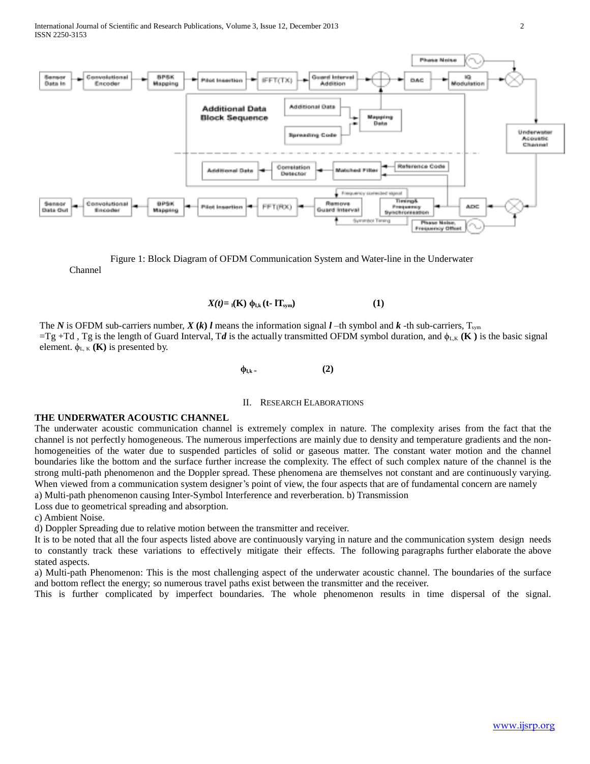

Channel Figure 1: Block Diagram of OFDM Communication System and Water-line in the Underwater

 $X(t) = \mathbf{I}(\mathbf{K}) \phi_{1,k} (t - \mathbf{I} \mathbf{T}_{sym})$  (1)

The *N* is OFDM sub-carriers number,  $X(k)$  *l* means the information signal *l* –th symbol and *k* –th sub-carriers,  $T_{sym}$  $=Tg + Td$ ,  $Tg$  is the length of Guard Interval,  $Td$  is the actually transmitted OFDM symbol duration, and  $\phi_{LK}$  (**K**) is the basic signal element.  $\phi_{L,K}$  (**K**) is presented by.

**ϕl,k <sup>=</sup>(2)**

#### II. RESEARCH ELABORATIONS

#### **THE UNDERWATER ACOUSTIC CHANNEL**

The underwater acoustic communication channel is extremely complex in nature. The complexity arises from the fact that the channel is not perfectly homogeneous. The numerous imperfections are mainly due to density and temperature gradients and the nonhomogeneities of the water due to suspended particles of solid or gaseous matter. The constant water motion and the channel boundaries like the bottom and the surface further increase the complexity. The effect of such complex nature of the channel is the strong multi-path phenomenon and the Doppler spread. These phenomena are themselves not constant and are continuously varying. When viewed from a communication system designer's point of view, the four aspects that are of fundamental concern are namely

a) Multi-path phenomenon causing Inter-Symbol Interference and reverberation. b) Transmission

Loss due to geometrical spreading and absorption.

c) Ambient Noise.

d) Doppler Spreading due to relative motion between the transmitter and receiver.

It is to be noted that all the four aspects listed above are continuously varying in nature and the communication system design needs to constantly track these variations to effectively mitigate their effects. The following paragraphs further elaborate the above stated aspects.

a) Multi-path Phenomenon: This is the most challenging aspect of the underwater acoustic channel. The boundaries of the surface and bottom reflect the energy; so numerous travel paths exist between the transmitter and the receiver.

This is further complicated by imperfect boundaries. The whole phenomenon results in time dispersal of the signal.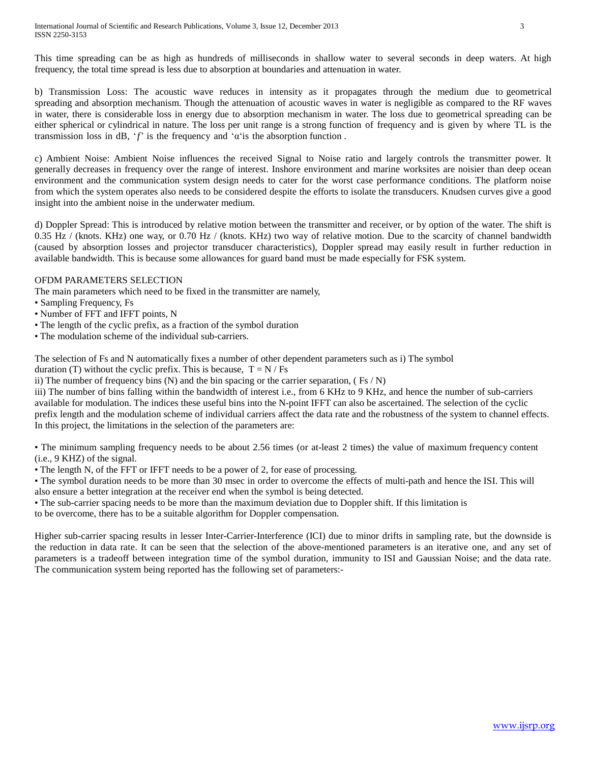This time spreading can be as high as hundreds of milliseconds in shallow water to several seconds in deep waters. At high frequency, the total time spread is less due to absorption at boundaries and attenuation in water.

b) Transmission Loss: The acoustic wave reduces in intensity as it propagates through the medium due to geometrical spreading and absorption mechanism. Though the attenuation of acoustic waves in water is negligible as compared to the RF waves in water, there is considerable loss in energy due to absorption mechanism in water. The loss due to geometrical spreading can be either spherical or cylindrical in nature. The loss per unit range is a strong function of frequency and is given by where TL is the transmission loss in dB, ' $f$ ' is the frequency and ' $\alpha$ ' is the absorption function.

c) Ambient Noise: Ambient Noise influences the received Signal to Noise ratio and largely controls the transmitter power. It generally decreases in frequency over the range of interest. Inshore environment and marine worksites are noisier than deep ocean environment and the communication system design needs to cater for the worst case performance conditions. The platform noise from which the system operates also needs to be considered despite the efforts to isolate the transducers. Knudsen curves give a good insight into the ambient noise in the underwater medium.

d) Doppler Spread: This is introduced by relative motion between the transmitter and receiver, or by option of the water. The shift is 0.35 Hz / (knots. KHz) one way, or 0.70 Hz / (knots. KHz) two way of relative motion. Due to the scarcity of channel bandwidth (caused by absorption losses and projector transducer characteristics), Doppler spread may easily result in further reduction in available bandwidth. This is because some allowances for guard band must be made especially for FSK system.

### OFDM PARAMETERS SELECTION

The main parameters which need to be fixed in the transmitter are namely,

- Sampling Frequency, Fs
- Number of FFT and IFFT points, N
- The length of the cyclic prefix, as a fraction of the symbol duration
- The modulation scheme of the individual sub-carriers.

The selection of Fs and N automatically fixes a number of other dependent parameters such as i) The symbol

duration (T) without the cyclic prefix. This is because,  $T = N / Fs$ 

ii) The number of frequency bins (N) and the bin spacing or the carrier separation,  $(Fs/N)$ 

iii) The number of bins falling within the bandwidth of interest i.e., from 6 KHz to 9 KHz, and hence the number of sub-carriers available for modulation. The indices these useful bins into the N-point IFFT can also be ascertained. The selection of the cyclic prefix length and the modulation scheme of individual carriers affect the data rate and the robustness of the system to channel effects. In this project, the limitations in the selection of the parameters are:

• The minimum sampling frequency needs to be about 2.56 times (or at-least 2 times) the value of maximum frequency content (i.e., 9 KHZ) of the signal.

• The length N, of the FFT or IFFT needs to be a power of 2, for ease of processing.

• The symbol duration needs to be more than 30 msec in order to overcome the effects of multi-path and hence the ISI. This will also ensure a better integration at the receiver end when the symbol is being detected.

• The sub-carrier spacing needs to be more than the maximum deviation due to Doppler shift. If this limitation is

to be overcome, there has to be a suitable algorithm for Doppler compensation.

Higher sub-carrier spacing results in lesser Inter-Carrier-Interference (ICI) due to minor drifts in sampling rate, but the downside is the reduction in data rate. It can be seen that the selection of the above-mentioned parameters is an iterative one, and any set of parameters is a tradeoff between integration time of the symbol duration, immunity to ISI and Gaussian Noise; and the data rate. The communication system being reported has the following set of parameters:-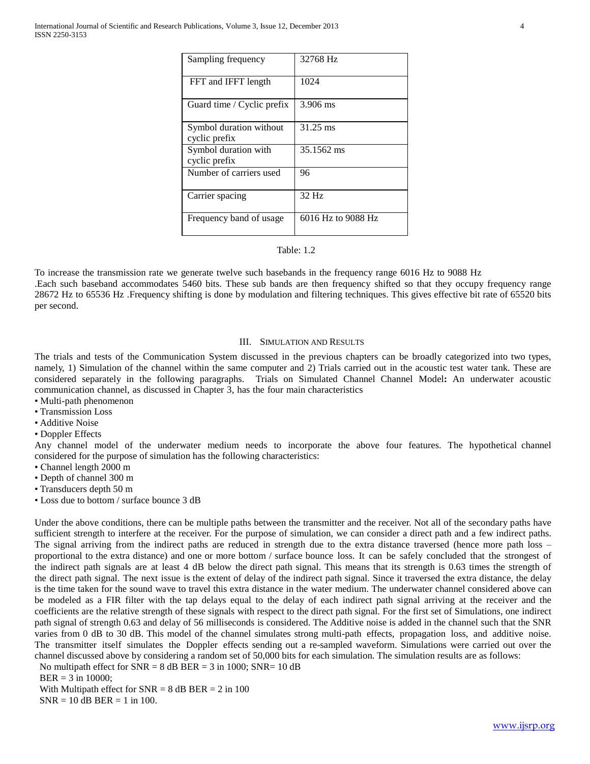| Sampling frequency                       | 32768 Hz           |
|------------------------------------------|--------------------|
| FFT and IFFT length                      | 1024               |
| Guard time / Cyclic prefix               | 3.906 ms           |
| Symbol duration without<br>cyclic prefix | 31.25 ms           |
| Symbol duration with<br>cyclic prefix    | 35.1562 ms         |
| Number of carriers used                  | 96                 |
| Carrier spacing                          | 32 Hz              |
| Frequency band of usage                  | 6016 Hz to 9088 Hz |

#### Table: 1.2

To increase the transmission rate we generate twelve such basebands in the frequency range 6016 Hz to 9088 Hz .Each such baseband accommodates 5460 bits. These sub bands are then frequency shifted so that they occupy frequency range 28672 Hz to 65536 Hz .Frequency shifting is done by modulation and filtering techniques. This gives effective bit rate of 65520 bits per second.

#### III. SIMULATION AND RESULTS

The trials and tests of the Communication System discussed in the previous chapters can be broadly categorized into two types, namely, 1) Simulation of the channel within the same computer and 2) Trials carried out in the acoustic test water tank. These are considered separately in the following paragraphs. Trials on Simulated Channel Channel Model**:** An underwater acoustic communication channel, as discussed in Chapter 3, has the four main characteristics

- Multi-path phenomenon
- Transmission Loss
- Additive Noise
- Doppler Effects

Any channel model of the underwater medium needs to incorporate the above four features. The hypothetical channel considered for the purpose of simulation has the following characteristics:

- Channel length 2000 m
- Depth of channel 300 m

• Transducers depth 50 m

• Loss due to bottom / surface bounce 3 dB

Under the above conditions, there can be multiple paths between the transmitter and the receiver. Not all of the secondary paths have sufficient strength to interfere at the receiver. For the purpose of simulation, we can consider a direct path and a few indirect paths. The signal arriving from the indirect paths are reduced in strength due to the extra distance traversed (hence more path loss – proportional to the extra distance) and one or more bottom / surface bounce loss. It can be safely concluded that the strongest of the indirect path signals are at least 4 dB below the direct path signal. This means that its strength is 0.63 times the strength of the direct path signal. The next issue is the extent of delay of the indirect path signal. Since it traversed the extra distance, the delay is the time taken for the sound wave to travel this extra distance in the water medium. The underwater channel considered above can be modeled as a FIR filter with the tap delays equal to the delay of each indirect path signal arriving at the receiver and the coefficients are the relative strength of these signals with respect to the direct path signal. For the first set of Simulations, one indirect path signal of strength 0.63 and delay of 56 milliseconds is considered. The Additive noise is added in the channel such that the SNR varies from 0 dB to 30 dB. This model of the channel simulates strong multi-path effects, propagation loss, and additive noise. The transmitter itself simulates the Doppler effects sending out a re-sampled waveform. Simulations were carried out over the channel discussed above by considering a random set of 50,000 bits for each simulation. The simulation results are as follows:

No multipath effect for  $SNR = 8$  dB BER = 3 in 1000;  $SNR = 10$  dB

BER = 3 in 10000;

With Multipath effect for  $SNR = 8$  dB BER = 2 in 100  $SNR = 10$  dB BER = 1 in 100.